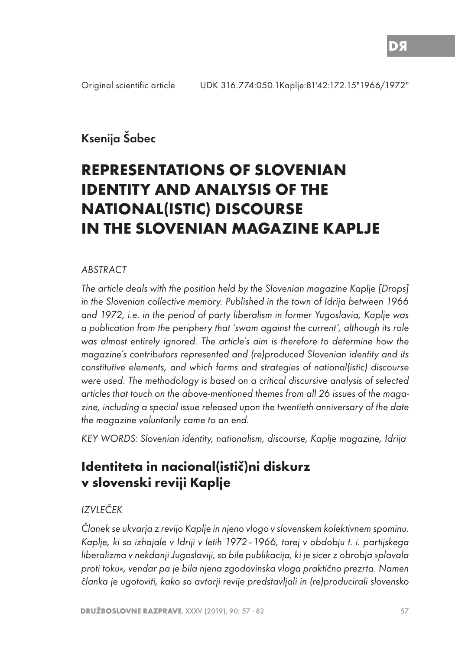## Ksenija Šabec

# **REPRESENTATIONS OF SLOVENIAN IDENTITY AND ANALYSIS OF THE NATIONAL(ISTIC) DISCOURSE IN THE SLOVENIAN MAGAZINE KAPLJE**

#### ABSTRACT

The article deals with the position held by the Slovenian magazine Kaplje [Drops] in the Slovenian collective memory. Published in the town of Idrija between 1966 and 1972, i.e. in the period of party liberalism in former Yugoslavia, Kaplje was a publication from the periphery that 'swam against the current', although its role was almost entirely ignored. The article's aim is therefore to determine how the magazine's contributors represented and (re)produced Slovenian identity and its constitutive elements, and which forms and strategies of national(istic) discourse were used. The methodology is based on a critical discursive analysis of selected articles that touch on the above-mentioned themes from all 26 issues of the magazine, including a special issue released upon the twentieth anniversary of the date the magazine voluntarily came to an end.

KEY WORDS: Slovenian identity, nationalism, discourse, Kaplje magazine, Idrija

## **Identiteta in nacional(istič)ni diskurz v slovenski reviji Kaplje**

## IZVLEČEK

Članek se ukvarja z revijo Kaplje in njeno vlogo v slovenskem kolektivnem spominu. Kaplje, ki so izhajale v Idriji v letih 1972–1966, torej v obdobju t. i. partijskega liberalizma v nekdanji Jugoslaviji, so bile publikacija, ki je sicer z obrobja »plavala proti toku«, vendar pa je bila njena zgodovinska vloga praktično prezrta. Namen članka je ugotoviti, kako so avtorji revije predstavljali in (re)producirali slovensko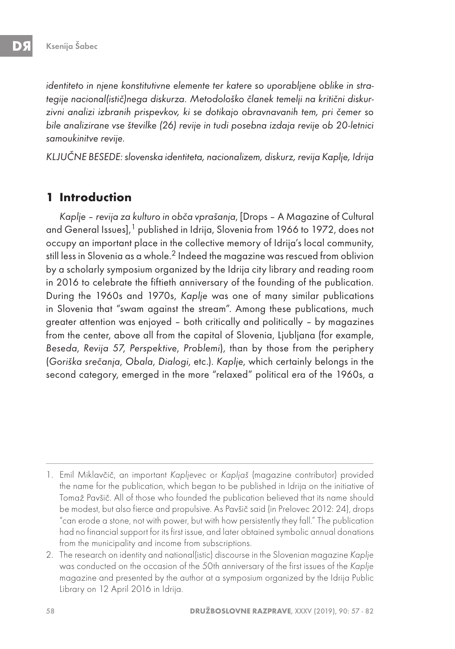identiteto in njene konstitutivne elemente ter katere so uporabljene oblike in strategije nacional(istič)nega diskurza. Metodološko članek temelji na kritični diskurzivni analizi izbranih prispevkov, ki se dotikajo obravnavanih tem, pri čemer so bile analizirane vse številke (26) revije in tudi posebna izdaja revije ob 20-letnici samoukinitve revije.

KLJUČNE BESEDE: slovenska identiteta, nacionalizem, diskurz, revija Kaplje, Idrija

### **1 Introduction**

Kaplje – revija za kulturo in obča vprašanja, [Drops – A Magazine of Cultural and General Issues],<sup>1</sup> published in Idrija, Slovenia from 1966 to 1972, does not occupy an important place in the collective memory of Idrija's local community, still less in Slovenia as a whole.<sup>2</sup> Indeed the magazine was rescued from oblivion by a scholarly symposium organized by the Idrija city library and reading room in 2016 to celebrate the fiftieth anniversary of the founding of the publication. During the 1960s and 1970s, Kaplje was one of many similar publications in Slovenia that "swam against the stream". Among these publications, much greater attention was enjoyed – both critically and politically – by magazines from the center, above all from the capital of Slovenia, Ljubljana (for example, Beseda, Revija 57, Perspektive, Problemi), than by those from the periphery (Goriška srečanja, Obala, Dialogi, etc.). Kaplje, which certainly belongs in the second category, emerged in the more "relaxed" political era of the 1960s, a

<sup>1.</sup> Emil Miklavčič, an important Kapljevec or Kapljaš (magazine contributor) provided the name for the publication, which began to be published in Idrija on the initiative of Tomaž Pavšič. All of those who founded the publication believed that its name should be modest, but also fierce and propulsive. As Pavšič said (in Prelovec 2012: 24), drops "can erode a stone, not with power, but with how persistently they fall." The publication had no financial support for its first issue, and later obtained symbolic annual donations from the municipality and income from subscriptions.

<sup>2.</sup> The research on identity and national(istic) discourse in the Slovenian magazine Kaplje was conducted on the occasion of the 50th anniversary of the first issues of the Kaplje magazine and presented by the author at a symposium organized by the Idrija Public Library on 12 April 2016 in Idrija.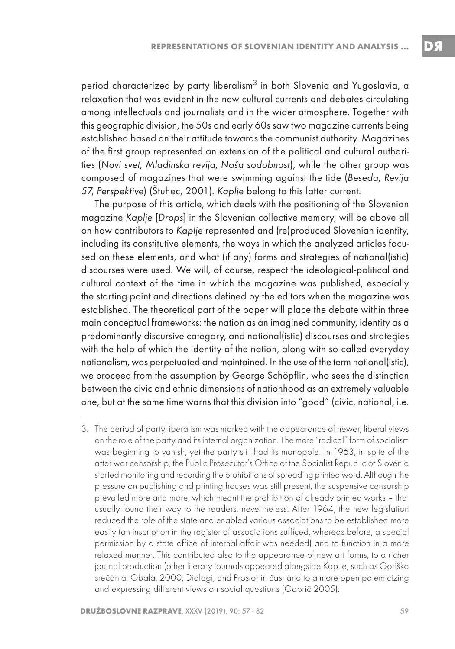period characterized by party liberalism $^3$  in both Slovenia and Yugoslavia, a relaxation that was evident in the new cultural currents and debates circulating among intellectuals and journalists and in the wider atmosphere. Together with this geographic division, the 50s and early 60s saw two magazine currents being established based on their attitude towards the communist authority. Magazines of the first group represented an extension of the political and cultural authorities (Novi svet, Mladinska revija, Naša sodobnost), while the other group was composed of magazines that were swimming against the tide (Beseda, Revija 57, Perspektive) (Štuhec, 2001). Kaplje belong to this latter current.

The purpose of this article, which deals with the positioning of the Slovenian magazine Kaplje [Drops] in the Slovenian collective memory, will be above all on how contributors to Kaplje represented and (re)produced Slovenian identity, including its constitutive elements, the ways in which the analyzed articles focused on these elements, and what (if any) forms and strategies of national(istic) discourses were used. We will, of course, respect the ideological-political and cultural context of the time in which the magazine was published, especially the starting point and directions defined by the editors when the magazine was established. The theoretical part of the paper will place the debate within three main conceptual frameworks: the nation as an imagined community, identity as a predominantly discursive category, and national(istic) discourses and strategies with the help of which the identity of the nation, along with so-called everyday nationalism, was perpetuated and maintained. In the use of the term national(istic), we proceed from the assumption by George Schöpflin, who sees the distinction between the civic and ethnic dimensions of nationhood as an extremely valuable one, but at the same time warns that this division into "good" (civic, national, i.e.

<sup>3.</sup> The period of party liberalism was marked with the appearance of newer, liberal views on the role of the party and its internal organization. The more "radical" form of socialism was beginning to vanish, yet the party still had its monopole. In 1963, in spite of the after-war censorship, the Public Prosecutor's Office of the Socialist Republic of Slovenia started monitoring and recording the prohibitions of spreading printed word. Although the pressure on publishing and printing houses was still present, the suspensive censorship prevailed more and more, which meant the prohibition of already printed works – that usually found their way to the readers, nevertheless. After 1964, the new legislation reduced the role of the state and enabled various associations to be established more easily (an inscription in the register of associations sufficed, whereas before, a special permission by a state office of internal affair was needed) and to function in a more relaxed manner. This contributed also to the appearance of new art forms, to a richer journal production (other literary journals appeared alongside Kaplje, such as Goriška srečanja, Obala, 2000, Dialogi, and Prostor in čas) and to a more open polemicizing and expressing different views on social questions (Gabrič 2005).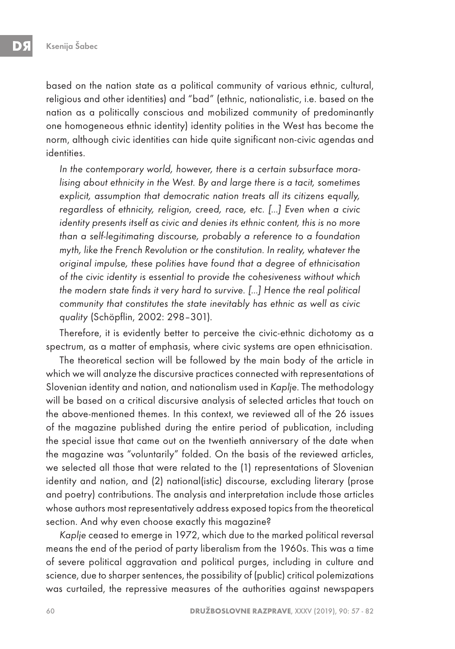based on the nation state as a political community of various ethnic, cultural, religious and other identities) and "bad" (ethnic, nationalistic, i.e. based on the nation as a politically conscious and mobilized community of predominantly one homogeneous ethnic identity) identity polities in the West has become the norm, although civic identities can hide quite significant non-civic agendas and identities.

In the contemporary world, however, there is a certain subsurface moralising about ethnicity in the West. By and large there is a tacit, sometimes explicit, assumption that democratic nation treats all its citizens equally, regardless of ethnicity, religion, creed, race, etc. […] Even when a civic identity presents itself as civic and denies its ethnic content, this is no more than a self-legitimating discourse, probably a reference to a foundation myth, like the French Revolution or the constitution. In reality, whatever the original impulse, these polities have found that a degree of ethnicisation of the civic identity is essential to provide the cohesiveness without which the modern state finds it very hard to survive. […] Hence the real political community that constitutes the state inevitably has ethnic as well as civic quality (Schöpflin, 2002: 298–301).

Therefore, it is evidently better to perceive the civic-ethnic dichotomy as a spectrum, as a matter of emphasis, where civic systems are open ethnicisation.

The theoretical section will be followed by the main body of the article in which we will analyze the discursive practices connected with representations of Slovenian identity and nation, and nationalism used in Kaplje. The methodology will be based on a critical discursive analysis of selected articles that touch on the above-mentioned themes. In this context, we reviewed all of the 26 issues of the magazine published during the entire period of publication, including the special issue that came out on the twentieth anniversary of the date when the magazine was "voluntarily" folded. On the basis of the reviewed articles, we selected all those that were related to the (1) representations of Slovenian identity and nation, and (2) national(istic) discourse, excluding literary (prose and poetry) contributions. The analysis and interpretation include those articles whose authors most representatively address exposed topics from the theoretical section. And why even choose exactly this magazine?

Kaplje ceased to emerge in 1972, which due to the marked political reversal means the end of the period of party liberalism from the 1960s. This was a time of severe political aggravation and political purges, including in culture and science, due to sharper sentences, the possibility of (public) critical polemizations was curtailed, the repressive measures of the authorities against newspapers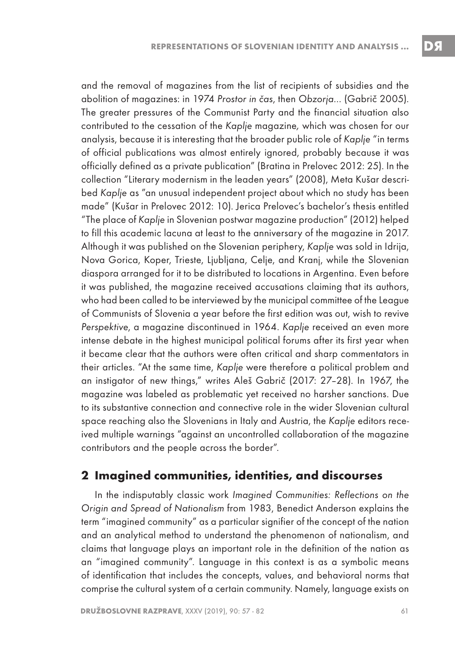and the removal of magazines from the list of recipients of subsidies and the abolition of magazines: in 1974 Prostor in čas, then Obzorja… (Gabrič 2005). The greater pressures of the Communist Party and the financial situation also contributed to the cessation of the Kaplje magazine, which was chosen for our analysis, because it is interesting that the broader public role of Kaplje "in terms of official publications was almost entirely ignored, probably because it was officially defined as a private publication" (Bratina in Prelovec 2012: 25). In the collection "Literary modernism in the leaden years" (2008), Meta Kušar described Kaplje as "an unusual independent project about which no study has been made" (Kušar in Prelovec 2012: 10). Jerica Prelovec's bachelor's thesis entitled "The place of Kaplje in Slovenian postwar magazine production" (2012) helped to fill this academic lacuna at least to the anniversary of the magazine in 2017. Although it was published on the Slovenian periphery, Kaplje was sold in Idrija, Nova Gorica, Koper, Trieste, Ljubljana, Celje, and Kranj, while the Slovenian diaspora arranged for it to be distributed to locations in Argentina. Even before it was published, the magazine received accusations claiming that its authors, who had been called to be interviewed by the municipal committee of the League of Communists of Slovenia a year before the first edition was out, wish to revive Perspektive, a magazine discontinued in 1964. Kaplje received an even more intense debate in the highest municipal political forums after its first year when it became clear that the authors were often critical and sharp commentators in their articles. "At the same time, Kaplje were therefore a political problem and an instigator of new things," writes Aleš Gabrič (2017: 27–28). In 1967, the magazine was labeled as problematic yet received no harsher sanctions. Due to its substantive connection and connective role in the wider Slovenian cultural space reaching also the Slovenians in Italy and Austria, the Kaplje editors received multiple warnings "against an uncontrolled collaboration of the magazine contributors and the people across the border".

### **2 Imagined communities, identities, and discourses**

In the indisputably classic work Imagined Communities: Reflections on the Origin and Spread of Nationalism from 1983, Benedict Anderson explains the term "imagined community" as a particular signifier of the concept of the nation and an analytical method to understand the phenomenon of nationalism, and claims that language plays an important role in the definition of the nation as an "imagined community". Language in this context is as a symbolic means of identification that includes the concepts, values, and behavioral norms that comprise the cultural system of a certain community. Namely, language exists on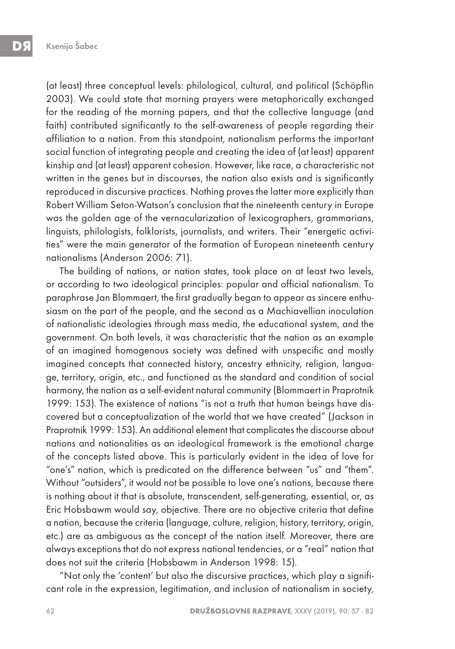(at least) three conceptual levels: philological, cultural, and political (Schöpflin 2003). We could state that morning prayers were metaphorically exchanged for the reading of the morning papers, and that the collective language (and faith) contributed significantly to the self-awareness of people regarding their affiliation to a nation. From this standpoint, nationalism performs the important social function of integrating people and creating the idea of (at least) apparent kinship and (at least) apparent cohesion. However, like race, a characteristic not written in the genes but in discourses, the nation also exists and is significantly reproduced in discursive practices. Nothing proves the latter more explicitly than Robert William Seton-Watson's conclusion that the nineteenth century in Europe was the golden age of the vernacularization of lexicographers, grammarians, linguists, philologists, folklorists, journalists, and writers. Their "energetic activities" were the main generator of the formation of European nineteenth century nationalisms (Anderson 2006: 71).

The building of nations, or nation states, took place on at least two levels, or according to two ideological principles: popular and official nationalism. To paraphrase Jan Blommaert, the first gradually began to appear as sincere enthusiasm on the part of the people, and the second as a Machiavellian inoculation of nationalistic ideologies through mass media, the educational system, and the government. On both levels, it was characteristic that the nation as an example of an imagined homogenous society was defined with unspecific and mostly imagined concepts that connected history, ancestry ethnicity, religion, language, territory, origin, etc., and functioned as the standard and condition of social harmony, the nation as a self-evident natural community (Blommaert in Praprotnik 1999: 153). The existence of nations "is not a truth that human beings have discovered but a conceptualization of the world that we have created" (Jackson in Praprotnik 1999: 153). An additional element that complicates the discourse about nations and nationalities as an ideological framework is the emotional charge of the concepts listed above. This is particularly evident in the idea of love for "one's" nation, which is predicated on the difference between "us" and "them". Without "outsiders", it would not be possible to love one's nations, because there is nothing about it that is absolute, transcendent, self-generating, essential, or, as Eric Hobsbawm would say, objective. There are no objective criteria that define a nation, because the criteria (language, culture, religion, history, territory, origin, etc.) are as ambiguous as the concept of the nation itself. Moreover, there are always exceptions that do not express national tendencies, or a "real" nation that does not suit the criteria (Hobsbawm in Anderson 1998: 15).

"Not only the 'content' but also the discursive practices, which play a significant role in the expression, legitimation, and inclusion of nationalism in society,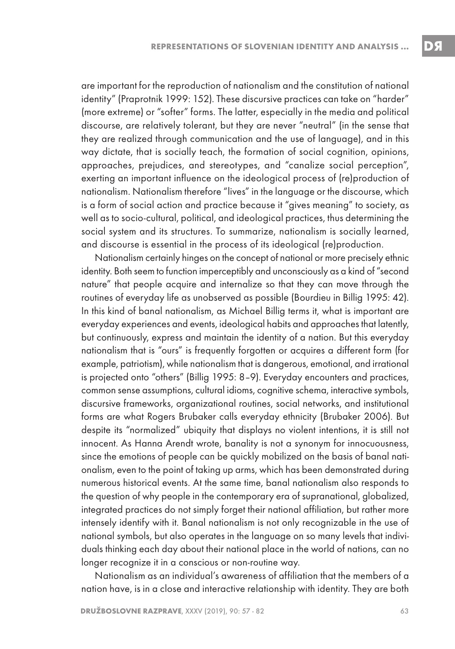are important for the reproduction of nationalism and the constitution of national identity" (Praprotnik 1999: 152). These discursive practices can take on "harder" (more extreme) or "softer" forms. The latter, especially in the media and political discourse, are relatively tolerant, but they are never "neutral" (in the sense that they are realized through communication and the use of language), and in this way dictate, that is socially teach, the formation of social cognition, opinions, approaches, prejudices, and stereotypes, and "canalize social perception", exerting an important influence on the ideological process of (re)production of nationalism. Nationalism therefore "lives" in the language or the discourse, which is a form of social action and practice because it "gives meaning" to society, as well as to socio-cultural, political, and ideological practices, thus determining the social system and its structures. To summarize, nationalism is socially learned, and discourse is essential in the process of its ideological (re)production.

Nationalism certainly hinges on the concept of national or more precisely ethnic identity. Both seem to function imperceptibly and unconsciously as a kind of "second nature" that people acquire and internalize so that they can move through the routines of everyday life as unobserved as possible (Bourdieu in Billig 1995: 42). In this kind of banal nationalism, as Michael Billig terms it, what is important are everyday experiences and events, ideological habits and approaches that latently, but continuously, express and maintain the identity of a nation. But this everyday nationalism that is "ours" is frequently forgotten or acquires a different form (for example, patriotism), while nationalism that is dangerous, emotional, and irrational is projected onto "others" (Billig 1995: 8–9). Everyday encounters and practices, common sense assumptions, cultural idioms, cognitive schema, interactive symbols, discursive frameworks, organizational routines, social networks, and institutional forms are what Rogers Brubaker calls everyday ethnicity (Brubaker 2006). But despite its "normalized" ubiquity that displays no violent intentions, it is still not innocent. As Hanna Arendt wrote, banality is not a synonym for innocuousness, since the emotions of people can be quickly mobilized on the basis of banal nationalism, even to the point of taking up arms, which has been demonstrated during numerous historical events. At the same time, banal nationalism also responds to the question of why people in the contemporary era of supranational, globalized, integrated practices do not simply forget their national affiliation, but rather more intensely identify with it. Banal nationalism is not only recognizable in the use of national symbols, but also operates in the language on so many levels that individuals thinking each day about their national place in the world of nations, can no longer recognize it in a conscious or non-routine way.

Nationalism as an individual's awareness of affiliation that the members of a nation have, is in a close and interactive relationship with identity. They are both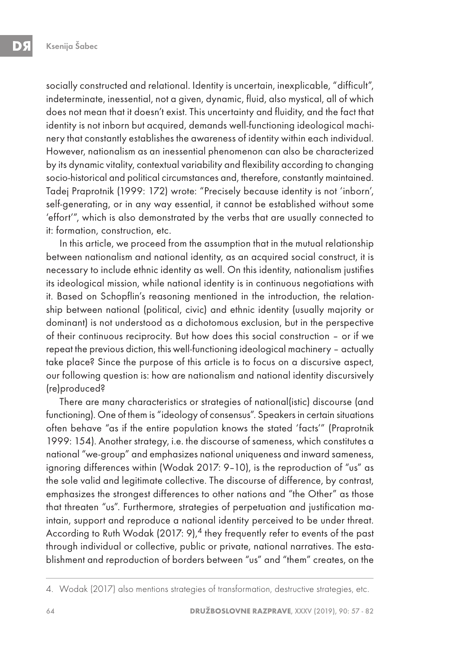socially constructed and relational. Identity is uncertain, inexplicable, "difficult", indeterminate, inessential, not a given, dynamic, fluid, also mystical, all of which does not mean that it doesn't exist. This uncertainty and fluidity, and the fact that identity is not inborn but acquired, demands well-functioning ideological machinery that constantly establishes the awareness of identity within each individual. However, nationalism as an inessential phenomenon can also be characterized by its dynamic vitality, contextual variability and flexibility according to changing socio-historical and political circumstances and, therefore, constantly maintained. Tadej Praprotnik (1999: 172) wrote: "Precisely because identity is not 'inborn', self-generating, or in any way essential, it cannot be established without some 'effort'", which is also demonstrated by the verbs that are usually connected to it: formation, construction, etc.

In this article, we proceed from the assumption that in the mutual relationship between nationalism and national identity, as an acquired social construct, it is necessary to include ethnic identity as well. On this identity, nationalism justifies its ideological mission, while national identity is in continuous negotiations with it. Based on Schopflin's reasoning mentioned in the introduction, the relationship between national (political, civic) and ethnic identity (usually majority or dominant) is not understood as a dichotomous exclusion, but in the perspective of their continuous reciprocity. But how does this social construction – or if we repeat the previous diction, this well-functioning ideological machinery – actually take place? Since the purpose of this article is to focus on a discursive aspect, our following question is: how are nationalism and national identity discursively (re)produced?

There are many characteristics or strategies of national(istic) discourse (and functioning). One of them is "ideology of consensus". Speakers in certain situations often behave "as if the entire population knows the stated 'facts'" (Praprotnik 1999: 154). Another strategy, i.e. the discourse of sameness, which constitutes a national "we-group" and emphasizes national uniqueness and inward sameness, ignoring differences within (Wodak 2017: 9–10), is the reproduction of "us" as the sole valid and legitimate collective. The discourse of difference, by contrast, emphasizes the strongest differences to other nations and "the Other" as those that threaten "us". Furthermore, strategies of perpetuation and justification maintain, support and reproduce a national identity perceived to be under threat. According to Ruth Wodak (2017: 9),  $4$  they frequently refer to events of the past through individual or collective, public or private, national narratives. The establishment and reproduction of borders between "us" and "them" creates, on the

<sup>4.</sup> Wodak (2017) also mentions strategies of transformation, destructive strategies, etc.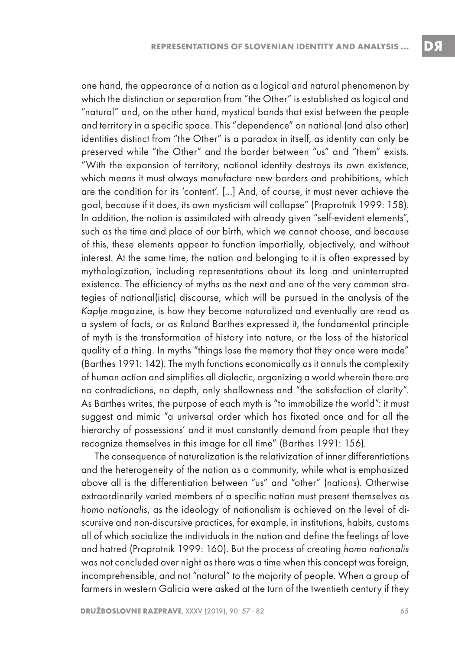one hand, the appearance of a nation as a logical and natural phenomenon by which the distinction or separation from "the Other" is established as logical and "natural" and, on the other hand, mystical bonds that exist between the people and territory in a specific space. This "dependence" on national (and also other) identities distinct from "the Other" is a paradox in itself, as identity can only be preserved while "the Other" and the border between "us" and "them" exists. "With the expansion of territory, national identity destroys its own existence, which means it must always manufacture new borders and prohibitions, which are the condition for its 'content'. […] And, of course, it must never achieve the goal, because if it does, its own mysticism will collapse" (Praprotnik 1999: 158). In addition, the nation is assimilated with already given "self-evident elements", such as the time and place of our birth, which we cannot choose, and because of this, these elements appear to function impartially, objectively, and without interest. At the same time, the nation and belonging to it is often expressed by mythologization, including representations about its long and uninterrupted existence. The efficiency of myths as the next and one of the very common strategies of national(istic) discourse, which will be pursued in the analysis of the Kaplje magazine, is how they become naturalized and eventually are read as a system of facts, or as Roland Barthes expressed it, the fundamental principle of myth is the transformation of history into nature, or the loss of the historical quality of a thing. In myths "things lose the memory that they once were made" (Barthes 1991: 142). The myth functions economically as it annuls the complexity of human action and simplifies all dialectic, organizing a world wherein there are no contradictions, no depth, only shallowness and "the satisfaction of clarity". As Barthes writes, the purpose of each myth is "to immobilize the world": it must suggest and mimic "a universal order which has fixated once and for all the hierarchy of possessions' and it must constantly demand from people that they recognize themselves in this image for all time" (Barthes 1991: 156).

The consequence of naturalization is the relativization of inner differentiations and the heterogeneity of the nation as a community, while what is emphasized above all is the differentiation between "us" and "other" (nations). Otherwise extraordinarily varied members of a specific nation must present themselves as homo nationalis, as the ideology of nationalism is achieved on the level of discursive and non-discursive practices, for example, in institutions, habits, customs all of which socialize the individuals in the nation and define the feelings of love and hatred (Praprotnik 1999: 160). But the process of creating homo nationalis was not concluded over night as there was a time when this concept was foreign, incomprehensible, and not "natural" to the majority of people. When a group of farmers in western Galicia were asked at the turn of the twentieth century if they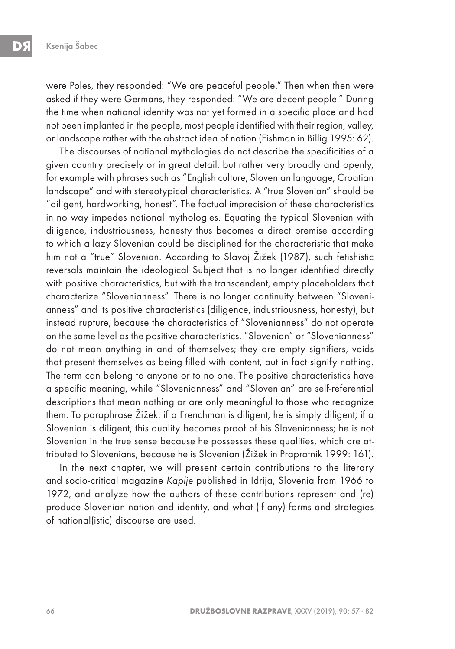were Poles, they responded: "We are peaceful people." Then when then were asked if they were Germans, they responded: "We are decent people." During the time when national identity was not yet formed in a specific place and had not been implanted in the people, most people identified with their region, valley, or landscape rather with the abstract idea of nation (Fishman in Billig 1995: 62).

The discourses of national mythologies do not describe the specificities of a given country precisely or in great detail, but rather very broadly and openly, for example with phrases such as "English culture, Slovenian language, Croatian landscape" and with stereotypical characteristics. A "true Slovenian" should be "diligent, hardworking, honest". The factual imprecision of these characteristics in no way impedes national mythologies. Equating the typical Slovenian with diligence, industriousness, honesty thus becomes a direct premise according to which a lazy Slovenian could be disciplined for the characteristic that make him not a "true" Slovenian. According to Slavoj Žižek (1987), such fetishistic reversals maintain the ideological Subject that is no longer identified directly with positive characteristics, but with the transcendent, empty placeholders that characterize "Slovenianness". There is no longer continuity between "Slovenianness" and its positive characteristics (diligence, industriousness, honesty), but instead rupture, because the characteristics of "Slovenianness" do not operate on the same level as the positive characteristics. "Slovenian" or "Slovenianness" do not mean anything in and of themselves; they are empty signifiers, voids that present themselves as being filled with content, but in fact signify nothing. The term can belong to anyone or to no one. The positive characteristics have a specific meaning, while "Slovenianness" and "Slovenian" are self-referential descriptions that mean nothing or are only meaningful to those who recognize them. To paraphrase Žižek: if a Frenchman is diligent, he is simply diligent; if a Slovenian is diligent, this quality becomes proof of his Slovenianness; he is not Slovenian in the true sense because he possesses these qualities, which are attributed to Slovenians, because he is Slovenian (Žižek in Praprotnik 1999: 161).

In the next chapter, we will present certain contributions to the literary and socio-critical magazine Kaplje published in Idrija, Slovenia from 1966 to 1972, and analyze how the authors of these contributions represent and (re) produce Slovenian nation and identity, and what (if any) forms and strategies of national(istic) discourse are used.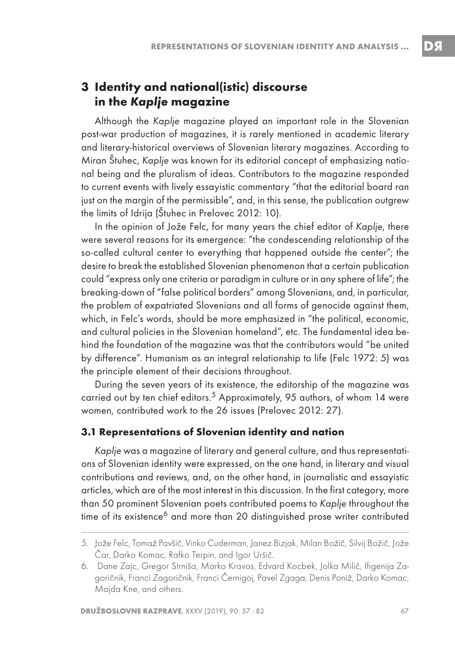## **3 Identity and national(istic) discourse in the Kaplje magazine**

Although the Kaplje magazine played an important role in the Slovenian post-war production of magazines, it is rarely mentioned in academic literary and literary-historical overviews of Slovenian literary magazines. According to Miran Štuhec, Kaplje was known for its editorial concept of emphasizing national being and the pluralism of ideas. Contributors to the magazine responded to current events with lively essayistic commentary "that the editorial board ran just on the margin of the permissible", and, in this sense, the publication outgrew the limits of Idrija (Štuhec in Prelovec 2012: 10).

In the opinion of Jože Felc, for many years the chief editor of Kaplje, there were several reasons for its emergence: "the condescending relationship of the so-called cultural center to everything that happened outside the center"; the desire to break the established Slovenian phenomenon that a certain publication could "express only one criteria or paradigm in culture or in any sphere of life"; the breaking-down of "false political borders" among Slovenians, and, in particular, the problem of expatriated Slovenians and all forms of genocide against them, which, in Felc's words, should be more emphasized in "the political, economic, and cultural policies in the Slovenian homeland", etc. The fundamental idea behind the foundation of the magazine was that the contributors would "be united by difference". Humanism as an integral relationship to life (Felc 1972: 5) was the principle element of their decisions throughout.

During the seven years of its existence, the editorship of the magazine was carried out by ten chief editors.<sup>5</sup> Approximately, 95 authors, of whom 14 were women, contributed work to the 26 issues (Prelovec 2012: 27).

#### **3.1 Representations of Slovenian identity and nation**

Kaplje was a magazine of literary and general culture, and thus representations of Slovenian identity were expressed, on the one hand, in literary and visual contributions and reviews, and, on the other hand, in journalistic and essayistic articles, which are of the most interest in this discussion. In the first category, more than 50 prominent Slovenian poets contributed poems to Kaplje throughout the time of its existence<sup>6</sup> and more than 20 distinguished prose writer contributed

<sup>5.</sup> Jože Felc, Tomaž Pavšič, Vinko Cuderman, Janez Bizjak, Milan Božič, Silvij Božič, Jože Čar, Darko Komac, Rafko Terpin, and Igor Uršič.

<sup>6.</sup> Dane Zajc, Gregor Strniša, Marko Kravos, Edvard Kocbek, Jolka Milič, Ifigenija Zagoričnik, Franci Zagoričnik, Franci Černigoj, Pavel Zgaga, Denis Poniž, Darko Komac, Majda Kne, and others.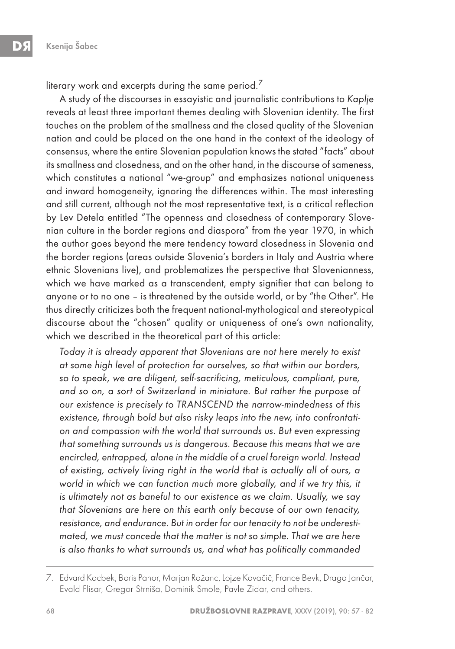literary work and excerpts during the same period.<sup>7</sup>

A study of the discourses in essayistic and journalistic contributions to Kaplje reveals at least three important themes dealing with Slovenian identity. The first touches on the problem of the smallness and the closed quality of the Slovenian nation and could be placed on the one hand in the context of the ideology of consensus, where the entire Slovenian population knows the stated "facts" about its smallness and closedness, and on the other hand, in the discourse of sameness, which constitutes a national "we-group" and emphasizes national uniqueness and inward homogeneity, ignoring the differences within. The most interesting and still current, although not the most representative text, is a critical reflection by Lev Detela entitled "The openness and closedness of contemporary Slovenian culture in the border regions and diaspora" from the year 1970, in which the author goes beyond the mere tendency toward closedness in Slovenia and the border regions (areas outside Slovenia's borders in Italy and Austria where ethnic Slovenians live), and problematizes the perspective that Slovenianness, which we have marked as a transcendent, empty signifier that can belong to anyone or to no one – is threatened by the outside world, or by "the Other". He thus directly criticizes both the frequent national-mythological and stereotypical discourse about the "chosen" quality or uniqueness of one's own nationality, which we described in the theoretical part of this article:

Today it is already apparent that Slovenians are not here merely to exist at some high level of protection for ourselves, so that within our borders, so to speak, we are diligent, self-sacrificing, meticulous, compliant, pure, and so on, a sort of Switzerland in miniature. But rather the purpose of our existence is precisely to TRANSCEND the narrow-mindedness of this existence, through bold but also risky leaps into the new, into confrontation and compassion with the world that surrounds us. But even expressing that something surrounds us is dangerous. Because this means that we are encircled, entrapped, alone in the middle of a cruel foreign world. Instead of existing, actively living right in the world that is actually all of ours, a world in which we can function much more globally, and if we try this, it is ultimately not as baneful to our existence as we claim. Usually, we say that Slovenians are here on this earth only because of our own tenacity, resistance, and endurance. But in order for our tenacity to not be underestimated, we must concede that the matter is not so simple. That we are here is also thanks to what surrounds us, and what has politically commanded

<sup>7.</sup> Edvard Kocbek, Boris Pahor, Marjan Rožanc, Lojze Kovačič, France Bevk, Drago Jančar, Evald Flisar, Gregor Strniša, Dominik Smole, Pavle Zidar, and others.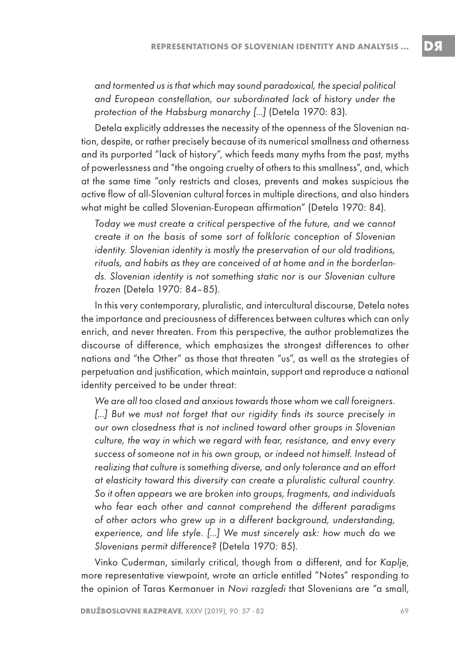and tormented us is that which may sound paradoxical, the special political and European constellation, our subordinated lack of history under the protection of the Habsburg monarchy […] (Detela 1970: 83).

Detela explicitly addresses the necessity of the openness of the Slovenian nation, despite, or rather precisely because of its numerical smallness and otherness and its purported "lack of history", which feeds many myths from the past, myths of powerlessness and "the ongoing cruelty of others to this smallness", and, which at the same time "only restricts and closes, prevents and makes suspicious the active flow of all-Slovenian cultural forces in multiple directions, and also hinders what might be called Slovenian-European affirmation" (Detela 1970: 84).

Today we must create a critical perspective of the future, and we cannot create it on the basis of some sort of folkloric conception of Slovenian identity. Slovenian identity is mostly the preservation of our old traditions, rituals, and habits as they are conceived of at home and in the borderlands. Slovenian identity is not something static nor is our Slovenian culture frozen (Detela 1970: 84–85).

In this very contemporary, pluralistic, and intercultural discourse, Detela notes the importance and preciousness of differences between cultures which can only enrich, and never threaten. From this perspective, the author problematizes the discourse of difference, which emphasizes the strongest differences to other nations and "the Other" as those that threaten "us", as well as the strategies of perpetuation and justification, which maintain, support and reproduce a national identity perceived to be under threat:

We are all too closed and anxious towards those whom we call foreigners. [...] But we must not forget that our rigidity finds its source precisely in our own closedness that is not inclined toward other groups in Slovenian culture, the way in which we regard with fear, resistance, and envy every success of someone not in his own group, or indeed not himself. Instead of realizing that culture is something diverse, and only tolerance and an effort at elasticity toward this diversity can create a pluralistic cultural country. So it often appears we are broken into groups, fragments, and individuals who fear each other and cannot comprehend the different paradigms of other actors who grew up in a different background, understanding, experience, and life style. […] We must sincerely ask: how much do we Slovenians permit difference? (Detela 1970: 85).

Vinko Cuderman, similarly critical, though from a different, and for Kaplje, more representative viewpoint, wrote an article entitled "Notes" responding to the opinion of Taras Kermanuer in Novi razgledi that Slovenians are "a small,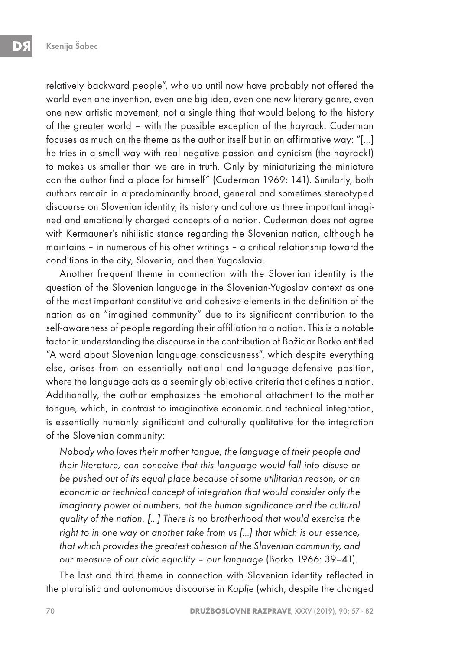relatively backward people", who up until now have probably not offered the world even one invention, even one big idea, even one new literary genre, even one new artistic movement, not a single thing that would belong to the history of the greater world – with the possible exception of the hayrack. Cuderman focuses as much on the theme as the author itself but in an affirmative way: "[…] he tries in a small way with real negative passion and cynicism (the hayrack!) to makes us smaller than we are in truth. Only by miniaturizing the miniature can the author find a place for himself" (Cuderman 1969: 141). Similarly, both authors remain in a predominantly broad, general and sometimes stereotyped discourse on Slovenian identity, its history and culture as three important imagined and emotionally charged concepts of a nation. Cuderman does not agree with Kermauner's nihilistic stance regarding the Slovenian nation, although he maintains – in numerous of his other writings – a critical relationship toward the conditions in the city, Slovenia, and then Yugoslavia.

Another frequent theme in connection with the Slovenian identity is the question of the Slovenian language in the Slovenian-Yugoslav context as one of the most important constitutive and cohesive elements in the definition of the nation as an "imagined community" due to its significant contribution to the self-awareness of people regarding their affiliation to a nation. This is a notable factor in understanding the discourse in the contribution of Božidar Borko entitled "A word about Slovenian language consciousness", which despite everything else, arises from an essentially national and language-defensive position, where the language acts as a seemingly objective criteria that defines a nation. Additionally, the author emphasizes the emotional attachment to the mother tongue, which, in contrast to imaginative economic and technical integration, is essentially humanly significant and culturally qualitative for the integration of the Slovenian community:

Nobody who loves their mother tongue, the language of their people and their literature, can conceive that this language would fall into disuse or be pushed out of its equal place because of some utilitarian reason, or an economic or technical concept of integration that would consider only the imaginary power of numbers, not the human significance and the cultural quality of the nation. […] There is no brotherhood that would exercise the right to in one way or another take from us […] that which is our essence, that which provides the greatest cohesion of the Slovenian community, and our measure of our civic equality – our language (Borko 1966: 39–41).

The last and third theme in connection with Slovenian identity reflected in the pluralistic and autonomous discourse in Kaplje (which, despite the changed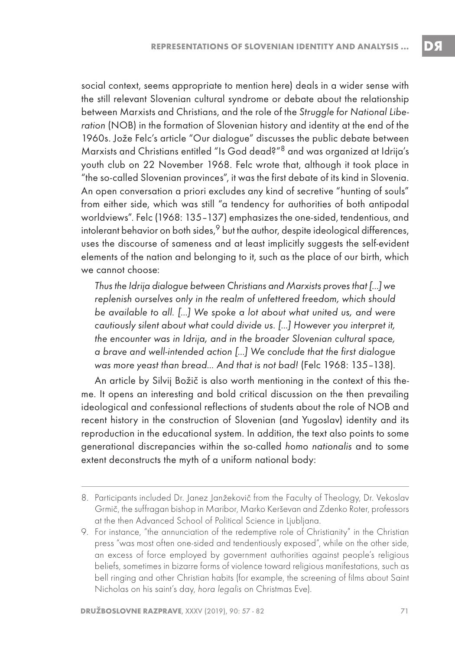social context, seems appropriate to mention here) deals in a wider sense with the still relevant Slovenian cultural syndrome or debate about the relationship between Marxists and Christians, and the role of the Struggle for National Liberation (NOB) in the formation of Slovenian history and identity at the end of the 1960s. Jože Felc's article "Our dialogue" discusses the public debate between Marxists and Christians entitled "Is God dead?"8 and was organized at Idrija's youth club on 22 November 1968. Felc wrote that, although it took place in "the so-called Slovenian provinces", it was the first debate of its kind in Slovenia. An open conversation a priori excludes any kind of secretive "hunting of souls" from either side, which was still "a tendency for authorities of both antipodal worldviews". Felc (1968: 135–137) emphasizes the one-sided, tendentious, and intolerant behavior on both sides, $9$  but the author, despite ideological differences, uses the discourse of sameness and at least implicitly suggests the self-evident elements of the nation and belonging to it, such as the place of our birth, which we cannot choose:

Thus the Idrija dialogue between Christians and Marxists proves that […] we replenish ourselves only in the realm of unfettered freedom, which should be available to all. […] We spoke a lot about what united us, and were cautiously silent about what could divide us. […] However you interpret it, the encounter was in Idrija, and in the broader Slovenian cultural space, a brave and well-intended action […] We conclude that the first dialogue was more yeast than bread… And that is not bad! (Felc 1968: 135–138).

An article by Silvij Božič is also worth mentioning in the context of this theme. It opens an interesting and bold critical discussion on the then prevailing ideological and confessional reflections of students about the role of NOB and recent history in the construction of Slovenian (and Yugoslav) identity and its reproduction in the educational system. In addition, the text also points to some generational discrepancies within the so-called homo nationalis and to some extent deconstructs the myth of a uniform national body:

<sup>8.</sup> Participants included Dr. Janez Janžekovič from the Faculty of Theology, Dr. Vekoslav Grmič, the suffragan bishop in Maribor, Marko Kerševan and Zdenko Roter, professors at the then Advanced School of Political Science in Ljubljana.

<sup>9.</sup> For instance, "the annunciation of the redemptive role of Christianity" in the Christian press "was most often one-sided and tendentiously exposed", while on the other side, an excess of force employed by government authorities against people's religious beliefs, sometimes in bizarre forms of violence toward religious manifestations, such as bell ringing and other Christian habits (for example, the screening of films about Saint Nicholas on his saint's day, hora legalis on Christmas Eve).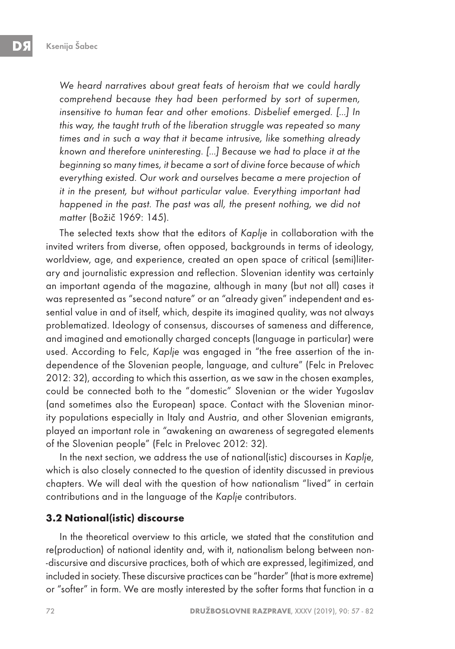We heard narratives about great feats of heroism that we could hardly comprehend because they had been performed by sort of supermen, insensitive to human fear and other emotions. Disbelief emerged. […] In this way, the taught truth of the liberation struggle was repeated so many times and in such a way that it became intrusive, like something already known and therefore uninteresting. […] Because we had to place it at the beginning so many times, it became a sort of divine force because of which everything existed. Our work and ourselves became a mere projection of it in the present, but without particular value. Everything important had happened in the past. The past was all, the present nothing, we did not matter (Božič 1969: 145).

The selected texts show that the editors of Kaplje in collaboration with the invited writers from diverse, often opposed, backgrounds in terms of ideology, worldview, age, and experience, created an open space of critical (semi)literary and journalistic expression and reflection. Slovenian identity was certainly an important agenda of the magazine, although in many (but not all) cases it was represented as "second nature" or an "already given" independent and essential value in and of itself, which, despite its imagined quality, was not always problematized. Ideology of consensus, discourses of sameness and difference, and imagined and emotionally charged concepts (language in particular) were used. According to Felc, Kaplje was engaged in "the free assertion of the independence of the Slovenian people, language, and culture" (Felc in Prelovec 2012: 32), according to which this assertion, as we saw in the chosen examples, could be connected both to the "domestic" Slovenian or the wider Yugoslav (and sometimes also the European) space. Contact with the Slovenian minority populations especially in Italy and Austria, and other Slovenian emigrants, played an important role in "awakening an awareness of segregated elements of the Slovenian people" (Felc in Prelovec 2012: 32).

In the next section, we address the use of national(istic) discourses in Kaplje, which is also closely connected to the question of identity discussed in previous chapters. We will deal with the question of how nationalism "lived" in certain contributions and in the language of the Kaplje contributors.

#### **3.2 National(istic) discourse**

In the theoretical overview to this article, we stated that the constitution and re(production) of national identity and, with it, nationalism belong between non- -discursive and discursive practices, both of which are expressed, legitimized, and included in society. These discursive practices can be "harder" (that is more extreme) or "softer" in form. We are mostly interested by the softer forms that function in a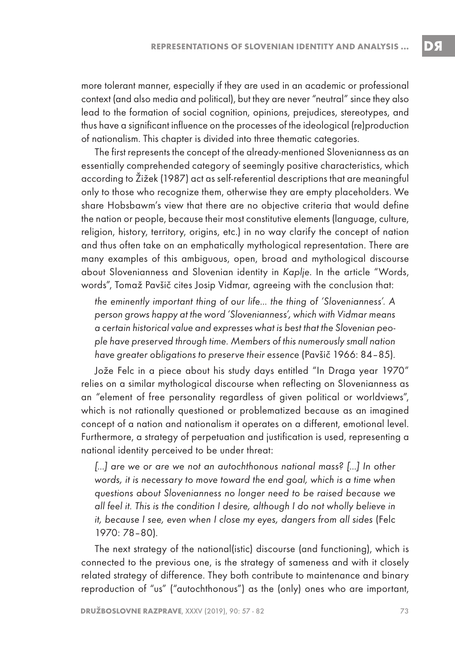more tolerant manner, especially if they are used in an academic or professional context (and also media and political), but they are never "neutral" since they also lead to the formation of social cognition, opinions, prejudices, stereotypes, and thus have a significant influence on the processes of the ideological (re)production of nationalism. This chapter is divided into three thematic categories.

The first represents the concept of the already-mentioned Slovenianness as an essentially comprehended category of seemingly positive characteristics, which according to Žižek (1987) act as self-referential descriptions that are meaningful only to those who recognize them, otherwise they are empty placeholders. We share Hobsbawm's view that there are no objective criteria that would define the nation or people, because their most constitutive elements (language, culture, religion, history, territory, origins, etc.) in no way clarify the concept of nation and thus often take on an emphatically mythological representation. There are many examples of this ambiguous, open, broad and mythological discourse about Slovenianness and Slovenian identity in Kaplje. In the article "Words, words", Tomaž Pavšič cites Josip Vidmar, agreeing with the conclusion that:

the eminently important thing of our life… the thing of 'Slovenianness'. A person grows happy at the word 'Slovenianness', which with Vidmar means a certain historical value and expresses what is best that the Slovenian people have preserved through time. Members of this numerously small nation have greater obligations to preserve their essence (Pavšič 1966: 84–85).

Jože Felc in a piece about his study days entitled "In Draga year 1970" relies on a similar mythological discourse when reflecting on Slovenianness as an "element of free personality regardless of given political or worldviews", which is not rationally questioned or problematized because as an imagined concept of a nation and nationalism it operates on a different, emotional level. Furthermore, a strategy of perpetuation and justification is used, representing a national identity perceived to be under threat:

[...] are we or are we not an autochthonous national mass? [...] In other words, it is necessary to move toward the end goal, which is a time when questions about Slovenianness no longer need to be raised because we all feel it. This is the condition I desire, although I do not wholly believe in it, because I see, even when I close my eyes, dangers from all sides (Felc 1970: 78–80).

The next strategy of the national(istic) discourse (and functioning), which is connected to the previous one, is the strategy of sameness and with it closely related strategy of difference. They both contribute to maintenance and binary reproduction of "us" ("autochthonous") as the (only) ones who are important,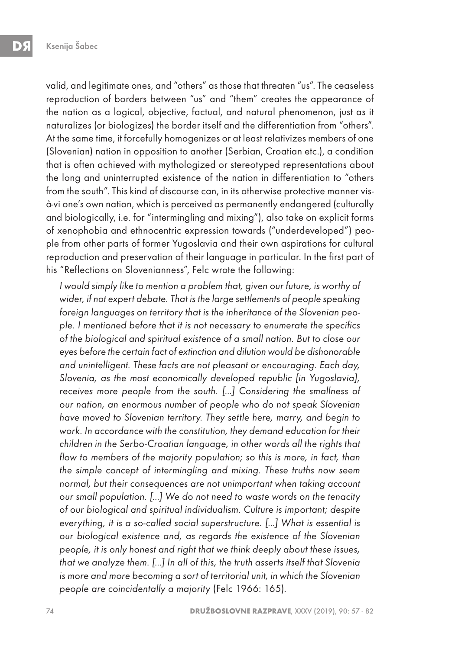valid, and legitimate ones, and "others" as those that threaten "us". The ceaseless reproduction of borders between "us" and "them" creates the appearance of the nation as a logical, objective, factual, and natural phenomenon, just as it naturalizes (or biologizes) the border itself and the differentiation from "others". At the same time, it forcefully homogenizes or at least relativizes members of one (Slovenian) nation in opposition to another (Serbian, Croatian etc.), a condition that is often achieved with mythologized or stereotyped representations about the long and uninterrupted existence of the nation in differentiation to "others from the south". This kind of discourse can, in its otherwise protective manner visà-vi one's own nation, which is perceived as permanently endangered (culturally and biologically, i.e. for "intermingling and mixing"), also take on explicit forms of xenophobia and ethnocentric expression towards ("underdeveloped") people from other parts of former Yugoslavia and their own aspirations for cultural reproduction and preservation of their language in particular. In the first part of his "Reflections on Slovenianness", Felc wrote the following:

I would simply like to mention a problem that, given our future, is worthy of wider, if not expert debate. That is the large settlements of people speaking foreign languages on territory that is the inheritance of the Slovenian people. I mentioned before that it is not necessary to enumerate the specifics of the biological and spiritual existence of a small nation. But to close our eyes before the certain fact of extinction and dilution would be dishonorable and unintelligent. These facts are not pleasant or encouraging. Each day, Slovenia, as the most economically developed republic [in Yugoslavia], receives more people from the south. […] Considering the smallness of our nation, an enormous number of people who do not speak Slovenian have moved to Slovenian territory. They settle here, marry, and begin to work. In accordance with the constitution, they demand education for their children in the Serbo-Croatian language, in other words all the rights that flow to members of the majority population; so this is more, in fact, than the simple concept of intermingling and mixing. These truths now seem normal, but their consequences are not unimportant when taking account our small population. […] We do not need to waste words on the tenacity of our biological and spiritual individualism. Culture is important; despite everything, it is a so-called social superstructure. […] What is essential is our biological existence and, as regards the existence of the Slovenian people, it is only honest and right that we think deeply about these issues, that we analyze them. […] In all of this, the truth asserts itself that Slovenia is more and more becoming a sort of territorial unit, in which the Slovenian people are coincidentally a majority (Felc 1966: 165).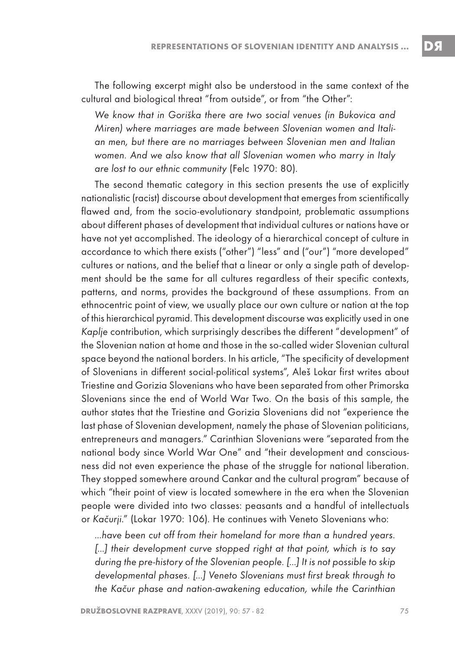The following excerpt might also be understood in the same context of the cultural and biological threat "from outside", or from "the Other":

We know that in Goriška there are two social venues (in Bukovica and Miren) where marriages are made between Slovenian women and Italian men, but there are no marriages between Slovenian men and Italian women. And we also know that all Slovenian women who marry in Italy are lost to our ethnic community (Felc 1970: 80).

The second thematic category in this section presents the use of explicitly nationalistic (racist) discourse about development that emerges from scientifically flawed and, from the socio-evolutionary standpoint, problematic assumptions about different phases of development that individual cultures or nations have or have not yet accomplished. The ideology of a hierarchical concept of culture in accordance to which there exists ("other") "less" and ("our") "more developed" cultures or nations, and the belief that a linear or only a single path of development should be the same for all cultures regardless of their specific contexts, patterns, and norms, provides the background of these assumptions. From an ethnocentric point of view, we usually place our own culture or nation at the top of this hierarchical pyramid. This development discourse was explicitly used in one Kaplje contribution, which surprisingly describes the different "development" of the Slovenian nation at home and those in the so-called wider Slovenian cultural space beyond the national borders. In his article, "The specificity of development of Slovenians in different social-political systems", Aleš Lokar first writes about Triestine and Gorizia Slovenians who have been separated from other Primorska Slovenians since the end of World War Two. On the basis of this sample, the author states that the Triestine and Gorizia Slovenians did not "experience the last phase of Slovenian development, namely the phase of Slovenian politicians, entrepreneurs and managers." Carinthian Slovenians were "separated from the national body since World War One" and "their development and consciousness did not even experience the phase of the struggle for national liberation. They stopped somewhere around Cankar and the cultural program" because of which "their point of view is located somewhere in the era when the Slovenian people were divided into two classes: peasants and a handful of intellectuals or Kačurji." (Lokar 1970: 106). He continues with Veneto Slovenians who:

…have been cut off from their homeland for more than a hundred years. [...] their development curve stopped right at that point, which is to say during the pre-history of the Slovenian people. […] It is not possible to skip developmental phases. […] Veneto Slovenians must first break through to the Kačur phase and nation-awakening education, while the Carinthian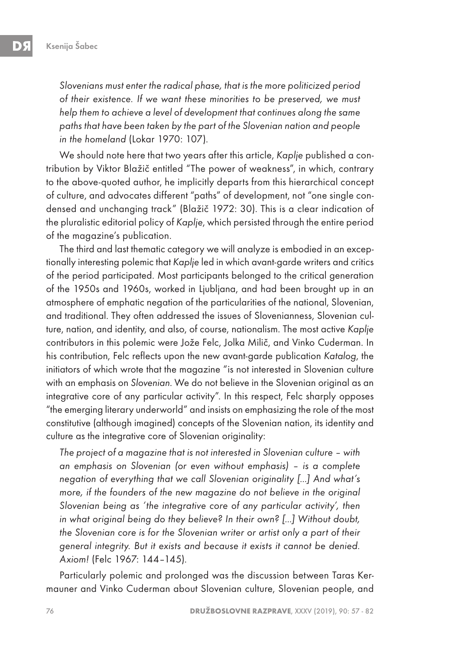Slovenians must enter the radical phase, that is the more politicized period of their existence. If we want these minorities to be preserved, we must help them to achieve a level of development that continues along the same paths that have been taken by the part of the Slovenian nation and people in the homeland (Lokar 1970: 107).

We should note here that two years after this article, Kaplje published a contribution by Viktor Blažič entitled "The power of weakness", in which, contrary to the above-quoted author, he implicitly departs from this hierarchical concept of culture, and advocates different "paths" of development, not "one single condensed and unchanging track" (Blažič 1972: 30). This is a clear indication of the pluralistic editorial policy of Kaplje, which persisted through the entire period of the magazine's publication.

The third and last thematic category we will analyze is embodied in an exceptionally interesting polemic that Kaplje led in which avant-garde writers and critics of the period participated. Most participants belonged to the critical generation of the 1950s and 1960s, worked in Ljubljana, and had been brought up in an atmosphere of emphatic negation of the particularities of the national, Slovenian, and traditional. They often addressed the issues of Slovenianness, Slovenian culture, nation, and identity, and also, of course, nationalism. The most active Kaplje contributors in this polemic were Jože Felc, Jolka Milič, and Vinko Cuderman. In his contribution, Felc reflects upon the new avant-garde publication Katalog, the initiators of which wrote that the magazine "is not interested in Slovenian culture with an emphasis on Slovenian. We do not believe in the Slovenian original as an integrative core of any particular activity". In this respect, Felc sharply opposes "the emerging literary underworld" and insists on emphasizing the role of the most constitutive (although imagined) concepts of the Slovenian nation, its identity and culture as the integrative core of Slovenian originality:

The project of a magazine that is not interested in Slovenian culture – with an emphasis on Slovenian (or even without emphasis) – is a complete negation of everything that we call Slovenian originality […] And what's more, if the founders of the new magazine do not believe in the original Slovenian being as 'the integrative core of any particular activity', then in what original being do they believe? In their own? […] Without doubt, the Slovenian core is for the Slovenian writer or artist only a part of their general integrity. But it exists and because it exists it cannot be denied. Axiom! (Felc 1967: 144–145).

Particularly polemic and prolonged was the discussion between Taras Kermauner and Vinko Cuderman about Slovenian culture, Slovenian people, and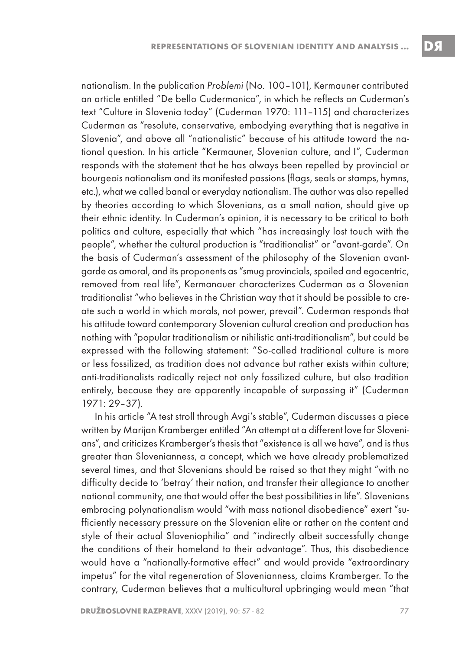nationalism. In the publication Problemi (No. 100–101), Kermauner contributed an article entitled "De bello Cudermanico", in which he reflects on Cuderman's text "Culture in Slovenia today" (Cuderman 1970: 111–115) and characterizes Cuderman as "resolute, conservative, embodying everything that is negative in Slovenia", and above all "nationalistic" because of his attitude toward the national question. In his article "Kermauner, Slovenian culture, and I", Cuderman responds with the statement that he has always been repelled by provincial or bourgeois nationalism and its manifested passions (flags, seals or stamps, hymns, etc.), what we called banal or everyday nationalism. The author was also repelled by theories according to which Slovenians, as a small nation, should give up their ethnic identity. In Cuderman's opinion, it is necessary to be critical to both politics and culture, especially that which "has increasingly lost touch with the people", whether the cultural production is "traditionalist" or "avant-garde". On the basis of Cuderman's assessment of the philosophy of the Slovenian avantgarde as amoral, and its proponents as "smug provincials, spoiled and egocentric, removed from real life", Kermanauer characterizes Cuderman as a Slovenian traditionalist "who believes in the Christian way that it should be possible to create such a world in which morals, not power, prevail". Cuderman responds that his attitude toward contemporary Slovenian cultural creation and production has nothing with "popular traditionalism or nihilistic anti-traditionalism", but could be expressed with the following statement: "So-called traditional culture is more or less fossilized, as tradition does not advance but rather exists within culture; anti-traditionalists radically reject not only fossilized culture, but also tradition entirely, because they are apparently incapable of surpassing it" (Cuderman 1971: 29–37).

In his article "A test stroll through Avgi's stable", Cuderman discusses a piece written by Marijan Kramberger entitled "An attempt at a different love for Slovenians", and criticizes Kramberger's thesis that "existence is all we have", and is thus greater than Slovenianness, a concept, which we have already problematized several times, and that Slovenians should be raised so that they might "with no difficulty decide to 'betray' their nation, and transfer their allegiance to another national community, one that would offer the best possibilities in life". Slovenians embracing polynationalism would "with mass national disobedience" exert "sufficiently necessary pressure on the Slovenian elite or rather on the content and style of their actual Sloveniophilia" and "indirectly albeit successfully change the conditions of their homeland to their advantage". Thus, this disobedience would have a "nationally-formative effect" and would provide "extraordinary impetus" for the vital regeneration of Slovenianness, claims Kramberger. To the contrary, Cuderman believes that a multicultural upbringing would mean "that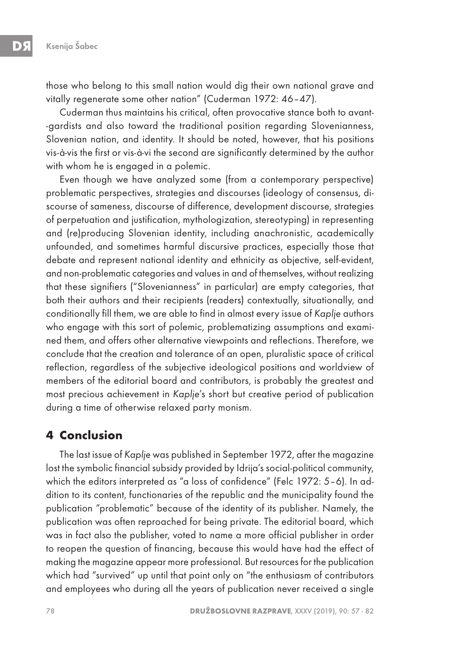those who belong to this small nation would dig their own national grave and vitally regenerate some other nation" (Cuderman 1972: 46–47).

Cuderman thus maintains his critical, often provocative stance both to avant- -gardists and also toward the traditional position regarding Slovenianness, Slovenian nation, and identity. It should be noted, however, that his positions vis-à-vis the first or vis-à-vi the second are significantly determined by the author with whom he is engaged in a polemic.

Even though we have analyzed some (from a contemporary perspective) problematic perspectives, strategies and discourses (ideology of consensus, discourse of sameness, discourse of difference, development discourse, strategies of perpetuation and justification, mythologization, stereotyping) in representing and (re)producing Slovenian identity, including anachronistic, academically unfounded, and sometimes harmful discursive practices, especially those that debate and represent national identity and ethnicity as objective, self-evident, and non-problematic categories and values in and of themselves, without realizing that these signifiers ("Slovenianness" in particular) are empty categories, that both their authors and their recipients (readers) contextually, situationally, and conditionally fill them, we are able to find in almost every issue of Kaplje authors who engage with this sort of polemic, problematizing assumptions and examined them, and offers other alternative viewpoints and reflections. Therefore, we conclude that the creation and tolerance of an open, pluralistic space of critical reflection, regardless of the subjective ideological positions and worldview of members of the editorial board and contributors, is probably the greatest and most precious achievement in Kaplje's short but creative period of publication during a time of otherwise relaxed party monism.

#### **4 Conclusion**

The last issue of Kaplje was published in September 1972, after the magazine lost the symbolic financial subsidy provided by Idrija's social-political community, which the editors interpreted as "a loss of confidence" (Felc 1972: 5-6). In addition to its content, functionaries of the republic and the municipality found the publication "problematic" because of the identity of its publisher. Namely, the publication was often reproached for being private. The editorial board, which was in fact also the publisher, voted to name a more official publisher in order to reopen the question of financing, because this would have had the effect of making the magazine appear more professional. But resources for the publication which had "survived" up until that point only on "the enthusiasm of contributors and employees who during all the years of publication never received a single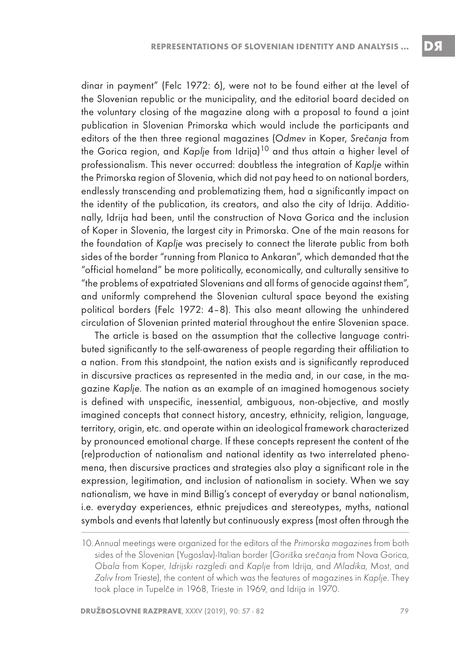dinar in payment" (Felc 1972: 6), were not to be found either at the level of the Slovenian republic or the municipality, and the editorial board decided on the voluntary closing of the magazine along with a proposal to found a joint publication in Slovenian Primorska which would include the participants and editors of the then three regional magazines (Odmev in Koper, Srečanja from the Gorica region, and Kaplje from Idrija)<sup>10</sup> and thus attain a higher level of professionalism. This never occurred: doubtless the integration of Kaplje within the Primorska region of Slovenia, which did not pay heed to on national borders, endlessly transcending and problematizing them, had a significantly impact on the identity of the publication, its creators, and also the city of Idrija. Additionally, Idrija had been, until the construction of Nova Gorica and the inclusion of Koper in Slovenia, the largest city in Primorska. One of the main reasons for the foundation of Kaplje was precisely to connect the literate public from both sides of the border "running from Planica to Ankaran", which demanded that the "official homeland" be more politically, economically, and culturally sensitive to "the problems of expatriated Slovenians and all forms of genocide against them", and uniformly comprehend the Slovenian cultural space beyond the existing political borders (Felc 1972: 4–8). This also meant allowing the unhindered circulation of Slovenian printed material throughout the entire Slovenian space.

The article is based on the assumption that the collective language contributed significantly to the self-awareness of people regarding their affiliation to a nation. From this standpoint, the nation exists and is significantly reproduced in discursive practices as represented in the media and, in our case, in the magazine Kaplje. The nation as an example of an imagined homogenous society is defined with unspecific, inessential, ambiguous, non-objective, and mostly imagined concepts that connect history, ancestry, ethnicity, religion, language, territory, origin, etc. and operate within an ideological framework characterized by pronounced emotional charge. If these concepts represent the content of the (re)production of nationalism and national identity as two interrelated phenomena, then discursive practices and strategies also play a significant role in the expression, legitimation, and inclusion of nationalism in society. When we say nationalism, we have in mind Billig's concept of everyday or banal nationalism, i.e. everyday experiences, ethnic prejudices and stereotypes, myths, national symbols and events that latently but continuously express (most often through the

<sup>10.</sup> Annual meetings were organized for the editors of the Primorska magazines from both sides of the Slovenian (Yugoslav)-Italian border (Goriška srečanja from Nova Gorica, Obala from Koper, Idrijski razgledi and Kaplje from Idrija, and Mladika, Most, and Zaliv from Trieste), the content of which was the features of magazines in Kaplje. They took place in Tupelče in 1968, Trieste in 1969, and Idrija in 1970.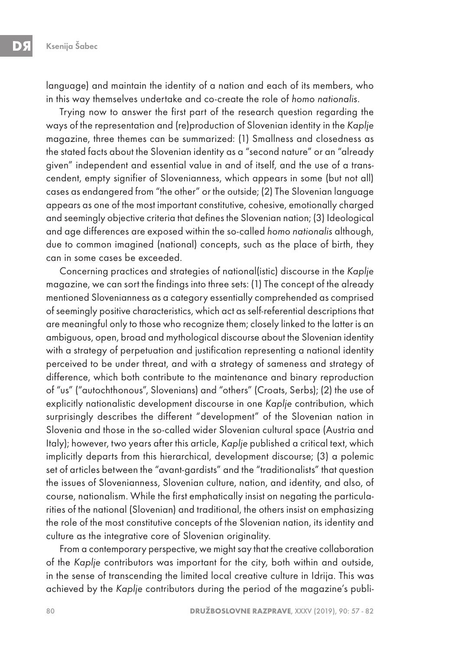language) and maintain the identity of a nation and each of its members, who in this way themselves undertake and co-create the role of homo nationalis.

Trying now to answer the first part of the research question regarding the ways of the representation and (re)production of Slovenian identity in the Kaplje magazine, three themes can be summarized: (1) Smallness and closedness as the stated facts about the Slovenian identity as a "second nature" or an "already given" independent and essential value in and of itself, and the use of a transcendent, empty signifier of Slovenianness, which appears in some (but not all) cases as endangered from "the other" or the outside; (2) The Slovenian language appears as one of the most important constitutive, cohesive, emotionally charged and seemingly objective criteria that defines the Slovenian nation; (3) Ideological and age differences are exposed within the so-called homo nationalis although, due to common imagined (national) concepts, such as the place of birth, they can in some cases be exceeded.

Concerning practices and strategies of national(istic) discourse in the Kaplje magazine, we can sort the findings into three sets: (1) The concept of the already mentioned Slovenianness as a category essentially comprehended as comprised of seemingly positive characteristics, which act as self-referential descriptions that are meaningful only to those who recognize them; closely linked to the latter is an ambiguous, open, broad and mythological discourse about the Slovenian identity with a strategy of perpetuation and justification representing a national identity perceived to be under threat, and with a strategy of sameness and strategy of difference, which both contribute to the maintenance and binary reproduction of "us" ("autochthonous", Slovenians) and "others" (Croats, Serbs); (2) the use of explicitly nationalistic development discourse in one Kaplje contribution, which surprisingly describes the different "development" of the Slovenian nation in Slovenia and those in the so-called wider Slovenian cultural space (Austria and Italy); however, two years after this article, Kaplje published a critical text, which implicitly departs from this hierarchical, development discourse; (3) a polemic set of articles between the "avant-gardists" and the "traditionalists" that question the issues of Slovenianness, Slovenian culture, nation, and identity, and also, of course, nationalism. While the first emphatically insist on negating the particularities of the national (Slovenian) and traditional, the others insist on emphasizing the role of the most constitutive concepts of the Slovenian nation, its identity and culture as the integrative core of Slovenian originality.

From a contemporary perspective, we might say that the creative collaboration of the Kaplje contributors was important for the city, both within and outside, in the sense of transcending the limited local creative culture in Idrija. This was achieved by the Kaplje contributors during the period of the magazine's publi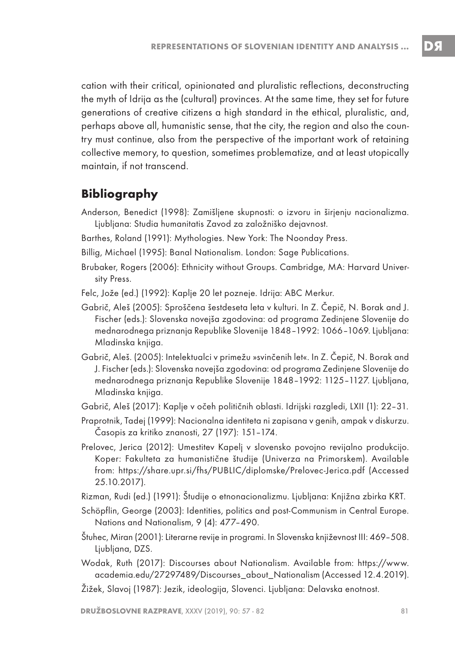cation with their critical, opinionated and pluralistic reflections, deconstructing the myth of Idrija as the (cultural) provinces. At the same time, they set for future generations of creative citizens a high standard in the ethical, pluralistic, and, perhaps above all, humanistic sense, that the city, the region and also the country must continue, also from the perspective of the important work of retaining collective memory, to question, sometimes problematize, and at least utopically maintain, if not transcend.

### **Bibliography**

- Anderson, Benedict (1998): Zamišljene skupnosti: o izvoru in širjenju nacionalizma. Ljubljana: Studia humanitatis Zavod za založniško dejavnost.
- Barthes, Roland (1991): Mythologies. New York: The Noonday Press.
- Billig, Michael (1995): Banal Nationalism. London: Sage Publications.
- Brubaker, Rogers (2006): Ethnicity without Groups. Cambridge, MA: Harvard University Press.
- Felc, Jože (ed.) (1992): Kaplje 20 let pozneje. Idrija: ABC Merkur.
- Gabrič, Aleš (2005): Sproščena šestdeseta leta v kulturi. In Z. Čepič, N. Borak and J. Fischer (eds.): Slovenska novejša zgodovina: od programa Zedinjene Slovenije do mednarodnega priznanja Republike Slovenije 1848–1992: 1066–1069. Ljubljana: Mladinska knjiga.
- Gabrič, Aleš. (2005): Intelektualci v primežu »svinčenih let«. In Z. Čepič, N. Borak and J. Fischer (eds.): Slovenska novejša zgodovina: od programa Zedinjene Slovenije do mednarodnega priznanja Republike Slovenije 1848–1992: 1125–1127. Ljubljana, Mladinska knjiga.
- Gabrič, Aleš (2017): Kaplje v očeh političnih oblasti. Idrijski razgledi, LXII (1): 22–31.
- Praprotnik, Tadej (1999): Nacionalna identiteta ni zapisana v genih, ampak v diskurzu. Časopis za kritiko znanosti, 27 (197): 151–174.
- Prelovec, Jerica (2012): Umestitev Kapelj v slovensko povojno revijalno produkcijo. Koper: Fakulteta za humanistične študije (Univerza na Primorskem). Available from: https://share.upr.si/fhs/PUBLIC/diplomske/Prelovec-Jerica.pdf (Accessed 25.10.2017).
- Rizman, Rudi (ed.) (1991): Študije o etnonacionalizmu. Ljubljana: Knjižna zbirka KRT.
- Schöpflin, George (2003): Identities, politics and post-Communism in Central Europe. Nations and Nationalism, 9 (4): 477–490.
- Štuhec, Miran (2001): Literarne revije in programi. In Slovenska književnost III: 469–508. Ljubljana, DZS.
- Wodak, Ruth (2017): Discourses about Nationalism. Available from: https://www. academia.edu/27297489/Discourses\_about\_Nationalism (Accessed 12.4.2019).
- Žižek, Slavoj (1987): Jezik, ideologija, Slovenci. Ljubljana: Delavska enotnost.